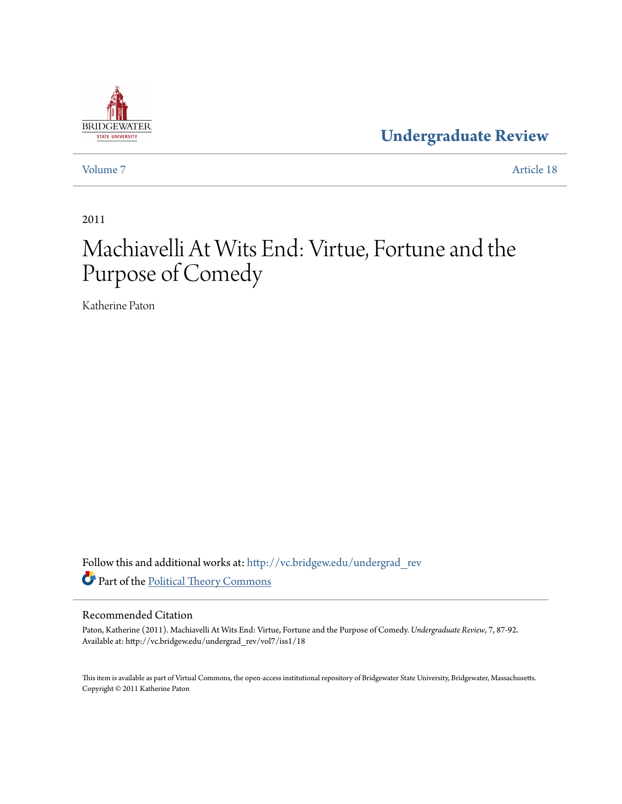

**[Undergraduate Review](http://vc.bridgew.edu/undergrad_rev?utm_source=vc.bridgew.edu%2Fundergrad_rev%2Fvol7%2Fiss1%2F18&utm_medium=PDF&utm_campaign=PDFCoverPages)**

[Volume 7](http://vc.bridgew.edu/undergrad_rev/vol7?utm_source=vc.bridgew.edu%2Fundergrad_rev%2Fvol7%2Fiss1%2F18&utm_medium=PDF&utm_campaign=PDFCoverPages) [Article 18](http://vc.bridgew.edu/undergrad_rev/vol7/iss1/18?utm_source=vc.bridgew.edu%2Fundergrad_rev%2Fvol7%2Fiss1%2F18&utm_medium=PDF&utm_campaign=PDFCoverPages)

2011

# Machiavelli At Wits End: Virtue, Fortune and the Purpose of Comedy

Katherine Paton

Follow this and additional works at: [http://vc.bridgew.edu/undergrad\\_rev](http://vc.bridgew.edu/undergrad_rev?utm_source=vc.bridgew.edu%2Fundergrad_rev%2Fvol7%2Fiss1%2F18&utm_medium=PDF&utm_campaign=PDFCoverPages) Part of the [Political Theory Commons](http://network.bepress.com/hgg/discipline/391?utm_source=vc.bridgew.edu%2Fundergrad_rev%2Fvol7%2Fiss1%2F18&utm_medium=PDF&utm_campaign=PDFCoverPages)

### Recommended Citation

Paton, Katherine (2011). Machiavelli At Wits End: Virtue, Fortune and the Purpose of Comedy. *Undergraduate Review*, 7, 87-92. Available at: http://vc.bridgew.edu/undergrad\_rev/vol7/iss1/18

This item is available as part of Virtual Commons, the open-access institutional repository of Bridgewater State University, Bridgewater, Massachusetts. Copyright © 2011 Katherine Paton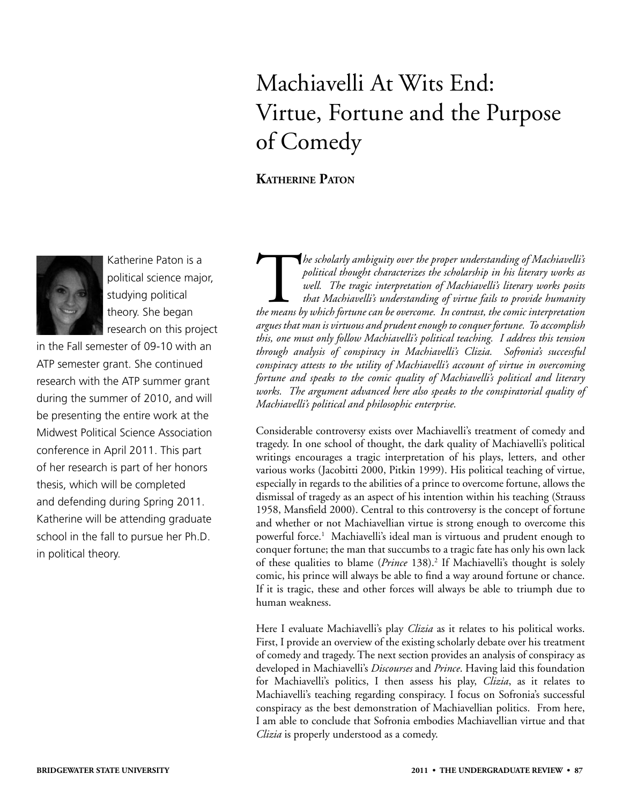# Machiavelli At Wits End: Virtue, Fortune and the Purpose of Comedy

# **KATHERINE PATON**



Katherine Paton is a political science major, studying political theory. She began research on this project

in the Fall semester of 09-10 with an ATP semester grant. She continued research with the ATP summer grant during the summer of 2010, and will be presenting the entire work at the Midwest Political Science Association conference in April 2011. This part of her research is part of her honors thesis, which will be completed and defending during Spring 2011. Katherine will be attending graduate school in the fall to pursue her Ph.D. in political theory.

**The scholarly ambiguity over the proper understanding of Machiavelli's**<br>
political thought characterizes the scholarship in his literary works as<br>
well. The tragic interpretation of Machiavelli's literary works posits<br>
th *political thought characterizes the scholarship in his literary works as well. The tragic interpretation of Machiavelli's literary works posits that Machiavelli's understanding of virtue fails to provide humanity argues that man is virtuous and prudent enough to conquer fortune. To accomplish this, one must only follow Machiavelli's political teaching. I address this tension through analysis of conspiracy in Machiavelli's Clizia. Sofronia's successful conspiracy attests to the utility of Machiavelli's account of virtue in overcoming fortune and speaks to the comic quality of Machiavelli's political and literary works. The argument advanced here also speaks to the conspiratorial quality of Machiavelli's political and philosophic enterprise.*

Considerable controversy exists over Machiavelli's treatment of comedy and tragedy. In one school of thought, the dark quality of Machiavelli's political writings encourages a tragic interpretation of his plays, letters, and other various works (Jacobitti 2000, Pitkin 1999). His political teaching of virtue, especially in regards to the abilities of a prince to overcome fortune, allows the dismissal of tragedy as an aspect of his intention within his teaching (Strauss 1958, Mansfield 2000). Central to this controversy is the concept of fortune and whether or not Machiavellian virtue is strong enough to overcome this powerful force.1 Machiavelli's ideal man is virtuous and prudent enough to conquer fortune; the man that succumbs to a tragic fate has only his own lack of these qualities to blame (*Prince* 138).<sup>2</sup> If Machiavelli's thought is solely comic, his prince will always be able to find a way around fortune or chance. If it is tragic, these and other forces will always be able to triumph due to human weakness.

Here I evaluate Machiavelli's play *Clizia* as it relates to his political works. First, I provide an overview of the existing scholarly debate over his treatment of comedy and tragedy. The next section provides an analysis of conspiracy as developed in Machiavelli's *Discourses* and *Prince*. Having laid this foundation for Machiavelli's politics, I then assess his play, *Clizia*, as it relates to Machiavelli's teaching regarding conspiracy. I focus on Sofronia's successful conspiracy as the best demonstration of Machiavellian politics. From here, I am able to conclude that Sofronia embodies Machiavellian virtue and that *Clizia* is properly understood as a comedy.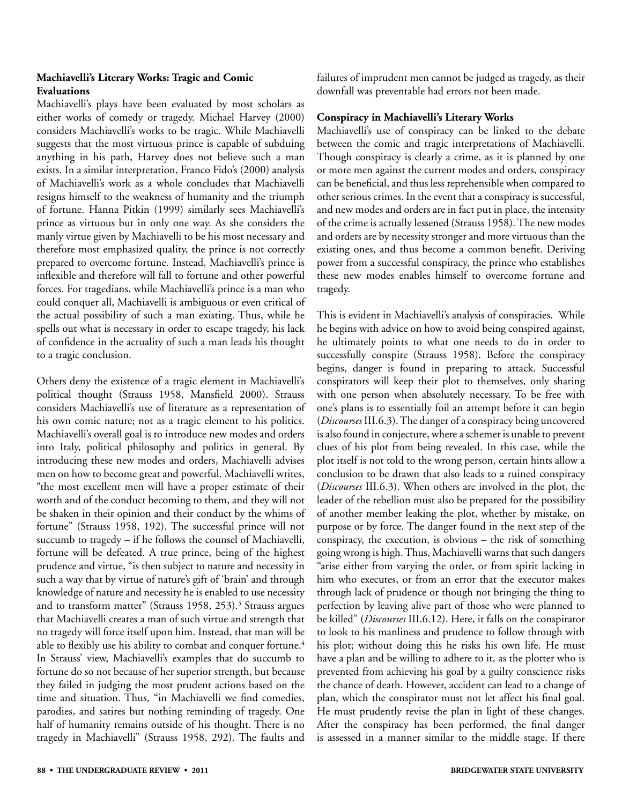### **Machiavelli's Literary Works: Tragic and Comic Evaluations**

Machiavelli's plays have been evaluated by most scholars as either works of comedy or tragedy. Michael Harvey (2000) considers Machiavelli's works to be tragic. While Machiavelli suggests that the most virtuous prince is capable of subduing anything in his path, Harvey does not believe such a man exists. In a similar interpretation, Franco Fido's (2000) analysis of Machiavelli's work as a whole concludes that Machiavelli resigns himself to the weakness of humanity and the triumph of fortune. Hanna Pitkin (1999) similarly sees Machiavelli's prince as virtuous but in only one way. As she considers the manly virtue given by Machiavelli to be his most necessary and therefore most emphasized quality, the prince is not correctly prepared to overcome fortune. Instead, Machiavelli's prince is inflexible and therefore will fall to fortune and other powerful forces. For tragedians, while Machiavelli's prince is a man who could conquer all, Machiavelli is ambiguous or even critical of the actual possibility of such a man existing. Thus, while he spells out what is necessary in order to escape tragedy, his lack of confidence in the actuality of such a man leads his thought to a tragic conclusion.

Others deny the existence of a tragic element in Machiavelli's political thought (Strauss 1958, Mansfield 2000). Strauss considers Machiavelli's use of literature as a representation of his own comic nature; not as a tragic element to his politics. Machiavelli's overall goal is to introduce new modes and orders into Italy, political philosophy and politics in general. By introducing these new modes and orders, Machiavelli advises men on how to become great and powerful. Machiavelli writes, "the most excellent men will have a proper estimate of their worth and of the conduct becoming to them, and they will not be shaken in their opinion and their conduct by the whims of fortune" (Strauss 1958, 192). The successful prince will not succumb to tragedy – if he follows the counsel of Machiavelli, fortune will be defeated. A true prince, being of the highest prudence and virtue, "is then subject to nature and necessity in such a way that by virtue of nature's gift of 'brain' and through knowledge of nature and necessity he is enabled to use necessity and to transform matter" (Strauss 1958, 253).<sup>3</sup> Strauss argues that Machiavelli creates a man of such virtue and strength that no tragedy will force itself upon him. Instead, that man will be able to flexibly use his ability to combat and conquer fortune.<sup>4</sup> In Strauss' view, Machiavelli's examples that do succumb to fortune do so not because of her superior strength, but because they failed in judging the most prudent actions based on the time and situation. Thus, "in Machiavelli we find comedies, parodies, and satires but nothing reminding of tragedy. One half of humanity remains outside of his thought. There is no tragedy in Machiavelli" (Strauss 1958, 292). The faults and

failures of imprudent men cannot be judged as tragedy, as their downfall was preventable had errors not been made.

## **Conspiracy in Machiavelli's Literary Works**

Machiavelli's use of conspiracy can be linked to the debate between the comic and tragic interpretations of Machiavelli. Though conspiracy is clearly a crime, as it is planned by one or more men against the current modes and orders, conspiracy can be beneficial, and thus less reprehensible when compared to other serious crimes. In the event that a conspiracy is successful, and new modes and orders are in fact put in place, the intensity of the crime is actually lessened (Strauss 1958). The new modes and orders are by necessity stronger and more virtuous than the existing ones, and thus become a common benefit. Deriving power from a successful conspiracy, the prince who establishes these new modes enables himself to overcome fortune and tragedy.

This is evident in Machiavelli's analysis of conspiracies. While he begins with advice on how to avoid being conspired against, he ultimately points to what one needs to do in order to successfully conspire (Strauss 1958). Before the conspiracy begins, danger is found in preparing to attack. Successful conspirators will keep their plot to themselves, only sharing with one person when absolutely necessary. To be free with one's plans is to essentially foil an attempt before it can begin (*Discourses* III.6.3). The danger of a conspiracy being uncovered is also found in conjecture, where a schemer is unable to prevent clues of his plot from being revealed. In this case, while the plot itself is not told to the wrong person, certain hints allow a conclusion to be drawn that also leads to a ruined conspiracy (*Discourses* III.6.3). When others are involved in the plot, the leader of the rebellion must also be prepared for the possibility of another member leaking the plot, whether by mistake, on purpose or by force. The danger found in the next step of the conspiracy, the execution, is obvious – the risk of something going wrong is high. Thus, Machiavelli warns that such dangers "arise either from varying the order, or from spirit lacking in him who executes, or from an error that the executor makes through lack of prudence or though not bringing the thing to perfection by leaving alive part of those who were planned to be killed" (*Discourses* III.6.12). Here, it falls on the conspirator to look to his manliness and prudence to follow through with his plot; without doing this he risks his own life. He must have a plan and be willing to adhere to it, as the plotter who is prevented from achieving his goal by a guilty conscience risks the chance of death. However, accident can lead to a change of plan, which the conspirator must not let affect his final goal. He must prudently revise the plan in light of these changes. After the conspiracy has been performed, the final danger is assessed in a manner similar to the middle stage. If there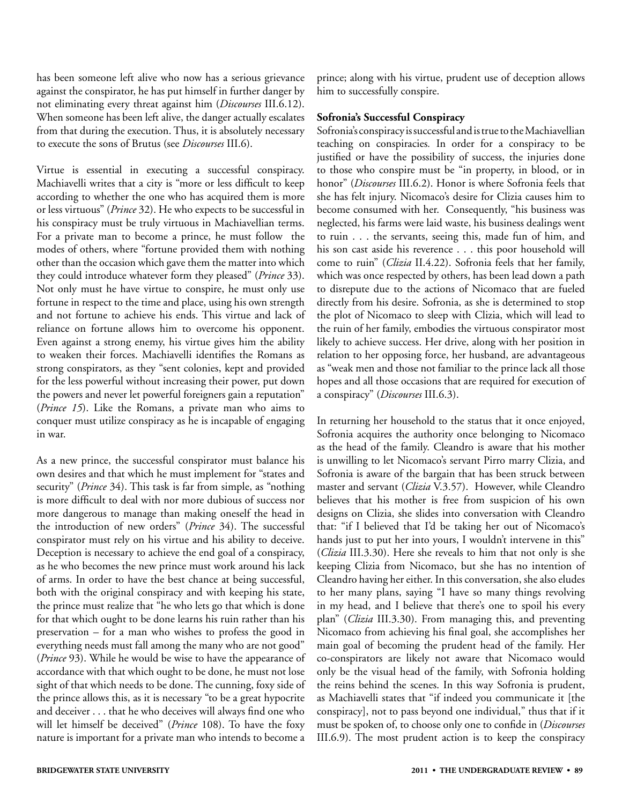has been someone left alive who now has a serious grievance against the conspirator, he has put himself in further danger by not eliminating every threat against him (*Discourses* III.6.12). When someone has been left alive, the danger actually escalates from that during the execution. Thus, it is absolutely necessary to execute the sons of Brutus (see *Discourses* III.6).

Virtue is essential in executing a successful conspiracy. Machiavelli writes that a city is "more or less difficult to keep according to whether the one who has acquired them is more or less virtuous" (*Prince* 32). He who expects to be successful in his conspiracy must be truly virtuous in Machiavellian terms. For a private man to become a prince, he must follow the modes of others, where "fortune provided them with nothing other than the occasion which gave them the matter into which they could introduce whatever form they pleased" (*Prince* 33). Not only must he have virtue to conspire, he must only use fortune in respect to the time and place, using his own strength and not fortune to achieve his ends. This virtue and lack of reliance on fortune allows him to overcome his opponent. Even against a strong enemy, his virtue gives him the ability to weaken their forces. Machiavelli identifies the Romans as strong conspirators, as they "sent colonies, kept and provided for the less powerful without increasing their power, put down the powers and never let powerful foreigners gain a reputation" (*Prince 15*). Like the Romans, a private man who aims to conquer must utilize conspiracy as he is incapable of engaging in war.

As a new prince, the successful conspirator must balance his own desires and that which he must implement for "states and security" (*Prince* 34). This task is far from simple, as "nothing is more difficult to deal with nor more dubious of success nor more dangerous to manage than making oneself the head in the introduction of new orders" (*Prince* 34). The successful conspirator must rely on his virtue and his ability to deceive. Deception is necessary to achieve the end goal of a conspiracy, as he who becomes the new prince must work around his lack of arms. In order to have the best chance at being successful, both with the original conspiracy and with keeping his state, the prince must realize that "he who lets go that which is done for that which ought to be done learns his ruin rather than his preservation – for a man who wishes to profess the good in everything needs must fall among the many who are not good" (*Prince* 93). While he would be wise to have the appearance of accordance with that which ought to be done, he must not lose sight of that which needs to be done. The cunning, foxy side of the prince allows this, as it is necessary "to be a great hypocrite and deceiver . . . that he who deceives will always find one who will let himself be deceived" (*Prince* 108). To have the foxy nature is important for a private man who intends to become a

prince; along with his virtue, prudent use of deception allows him to successfully conspire.

### **Sofronia's Successful Conspiracy**

Sofronia's conspiracy is successful and is true to the Machiavellian teaching on conspiracies*.* In order for a conspiracy to be justified or have the possibility of success, the injuries done to those who conspire must be "in property, in blood, or in honor" (*Discourses* III.6.2). Honor is where Sofronia feels that she has felt injury. Nicomaco's desire for Clizia causes him to become consumed with her. Consequently, "his business was neglected, his farms were laid waste, his business dealings went to ruin . . . the servants, seeing this, made fun of him, and his son cast aside his reverence . . . this poor household will come to ruin" (*Clizia* II.4.22). Sofronia feels that her family, which was once respected by others, has been lead down a path to disrepute due to the actions of Nicomaco that are fueled directly from his desire. Sofronia, as she is determined to stop the plot of Nicomaco to sleep with Clizia, which will lead to the ruin of her family, embodies the virtuous conspirator most likely to achieve success. Her drive, along with her position in relation to her opposing force, her husband, are advantageous as "weak men and those not familiar to the prince lack all those hopes and all those occasions that are required for execution of a conspiracy" (*Discourses* III.6.3).

In returning her household to the status that it once enjoyed, Sofronia acquires the authority once belonging to Nicomaco as the head of the family. Cleandro is aware that his mother is unwilling to let Nicomaco's servant Pirro marry Clizia, and Sofronia is aware of the bargain that has been struck between master and servant (*Clizia* V.3.57). However, while Cleandro believes that his mother is free from suspicion of his own designs on Clizia, she slides into conversation with Cleandro that: "if I believed that I'd be taking her out of Nicomaco's hands just to put her into yours, I wouldn't intervene in this" (*Clizia* III.3.30). Here she reveals to him that not only is she keeping Clizia from Nicomaco, but she has no intention of Cleandro having her either. In this conversation, she also eludes to her many plans, saying "I have so many things revolving in my head, and I believe that there's one to spoil his every plan" (*Clizia* III.3.30). From managing this, and preventing Nicomaco from achieving his final goal, she accomplishes her main goal of becoming the prudent head of the family. Her co-conspirators are likely not aware that Nicomaco would only be the visual head of the family, with Sofronia holding the reins behind the scenes. In this way Sofronia is prudent, as Machiavelli states that "if indeed you communicate it [the conspiracy], not to pass beyond one individual," thus that if it must be spoken of, to choose only one to confide in (*Discourses* III.6.9). The most prudent action is to keep the conspiracy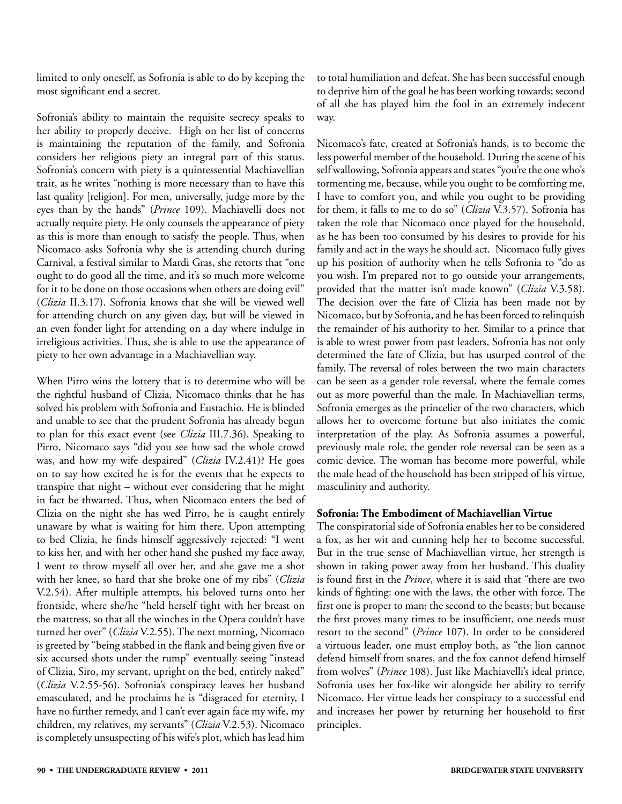limited to only oneself, as Sofronia is able to do by keeping the most significant end a secret.

Sofronia's ability to maintain the requisite secrecy speaks to her ability to properly deceive. High on her list of concerns is maintaining the reputation of the family, and Sofronia considers her religious piety an integral part of this status. Sofronia's concern with piety is a quintessential Machiavellian trait, as he writes "nothing is more necessary than to have this last quality [religion]. For men, universally, judge more by the eyes than by the hands" (*Prince* 109). Machiavelli does not actually require piety. He only counsels the appearance of piety as this is more than enough to satisfy the people. Thus, when Nicomaco asks Sofronia why she is attending church during Carnival, a festival similar to Mardi Gras, she retorts that "one ought to do good all the time, and it's so much more welcome for it to be done on those occasions when others are doing evil" (*Clizia* II.3.17). Sofronia knows that she will be viewed well for attending church on any given day, but will be viewed in an even fonder light for attending on a day where indulge in irreligious activities. Thus, she is able to use the appearance of piety to her own advantage in a Machiavellian way.

When Pirro wins the lottery that is to determine who will be the rightful husband of Clizia, Nicomaco thinks that he has solved his problem with Sofronia and Eustachio. He is blinded and unable to see that the prudent Sofronia has already begun to plan for this exact event (see *Clizia* III.7.36). Speaking to Pirro, Nicomaco says "did you see how sad the whole crowd was, and how my wife despaired" (*Clizia* IV.2.41)? He goes on to say how excited he is for the events that he expects to transpire that night – without ever considering that he might in fact be thwarted. Thus, when Nicomaco enters the bed of Clizia on the night she has wed Pirro, he is caught entirely unaware by what is waiting for him there. Upon attempting to bed Clizia, he finds himself aggressively rejected: "I went to kiss her, and with her other hand she pushed my face away, I went to throw myself all over her, and she gave me a shot with her knee, so hard that she broke one of my ribs" (*Clizia*  V.2.54). After multiple attempts, his beloved turns onto her frontside, where she/he "held herself tight with her breast on the mattress, so that all the winches in the Opera couldn't have turned her over" (*Clizia* V.2.55). The next morning, Nicomaco is greeted by "being stabbed in the flank and being given five or six accursed shots under the rump" eventually seeing "instead of Clizia, Siro, my servant, upright on the bed, entirely naked" (*Clizia* V.2.55-56). Sofronia's conspiracy leaves her husband emasculated, and he proclaims he is "disgraced for eternity, I have no further remedy, and I can't ever again face my wife, my children, my relatives, my servants" (*Clizia* V.2.53). Nicomaco is completely unsuspecting of his wife's plot, which has lead him

to total humiliation and defeat. She has been successful enough to deprive him of the goal he has been working towards; second of all she has played him the fool in an extremely indecent way.

Nicomaco's fate, created at Sofronia's hands, is to become the less powerful member of the household. During the scene of his self wallowing, Sofronia appears and states "you're the one who's tormenting me, because, while you ought to be comforting me, I have to comfort you, and while you ought to be providing for them, it falls to me to do so" (*Clizia* V.3.57). Sofronia has taken the role that Nicomaco once played for the household, as he has been too consumed by his desires to provide for his family and act in the ways he should act. Nicomaco fully gives up his position of authority when he tells Sofronia to "do as you wish. I'm prepared not to go outside your arrangements, provided that the matter isn't made known" (*Clizia* V.3.58). The decision over the fate of Clizia has been made not by Nicomaco, but by Sofronia, and he has been forced to relinquish the remainder of his authority to her. Similar to a prince that is able to wrest power from past leaders, Sofronia has not only determined the fate of Clizia, but has usurped control of the family. The reversal of roles between the two main characters can be seen as a gender role reversal, where the female comes out as more powerful than the male. In Machiavellian terms, Sofronia emerges as the princelier of the two characters, which allows her to overcome fortune but also initiates the comic interpretation of the play. As Sofronia assumes a powerful, previously male role, the gender role reversal can be seen as a comic device. The woman has become more powerful, while the male head of the household has been stripped of his virtue, masculinity and authority.

#### **Sofronia: The Embodiment of Machiavellian Virtue**

The conspiratorial side of Sofronia enables her to be considered a fox, as her wit and cunning help her to become successful. But in the true sense of Machiavellian virtue, her strength is shown in taking power away from her husband. This duality is found first in the *Prince*, where it is said that "there are two kinds of fighting: one with the laws, the other with force. The first one is proper to man; the second to the beasts; but because the first proves many times to be insufficient, one needs must resort to the second" (*Prince* 107). In order to be considered a virtuous leader, one must employ both, as "the lion cannot defend himself from snares, and the fox cannot defend himself from wolves" (*Prince* 108). Just like Machiavelli's ideal prince, Sofronia uses her fox-like wit alongside her ability to terrify Nicomaco. Her virtue leads her conspiracy to a successful end and increases her power by returning her household to first principles.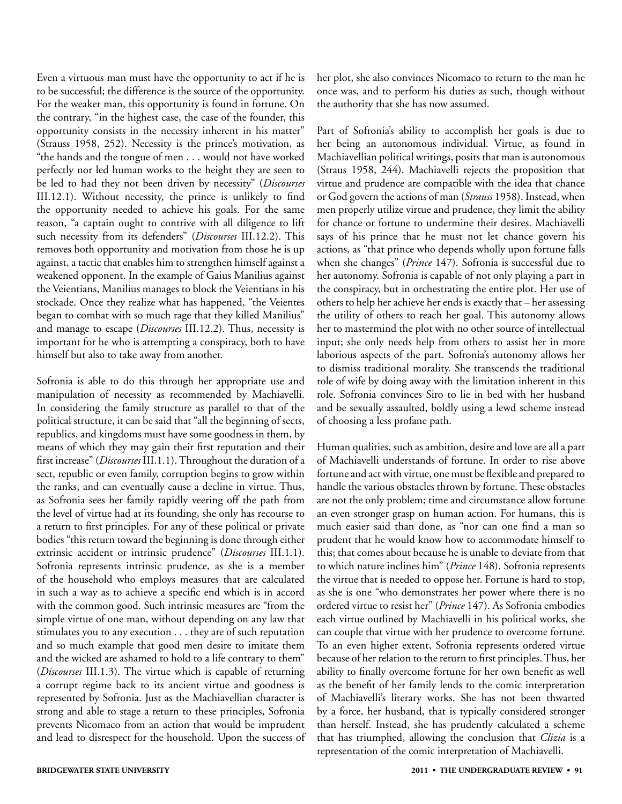Even a virtuous man must have the opportunity to act if he is to be successful; the difference is the source of the opportunity. For the weaker man, this opportunity is found in fortune. On the contrary, "in the highest case, the case of the founder, this opportunity consists in the necessity inherent in his matter" (Strauss 1958, 252). Necessity is the prince's motivation, as "the hands and the tongue of men . . . would not have worked perfectly nor led human works to the height they are seen to be led to had they not been driven by necessity" (*Discourses* III.12.1). Without necessity, the prince is unlikely to find the opportunity needed to achieve his goals. For the same reason, "a captain ought to contrive with all diligence to lift such necessity from its defenders" (*Discourses* III.12.2). This removes both opportunity and motivation from those he is up against, a tactic that enables him to strengthen himself against a weakened opponent. In the example of Gaius Manilius against the Veientians, Manilius manages to block the Veientians in his stockade. Once they realize what has happened, "the Veientes began to combat with so much rage that they killed Manilius" and manage to escape (*Discourses* III.12.2). Thus, necessity is important for he who is attempting a conspiracy, both to have himself but also to take away from another.

Sofronia is able to do this through her appropriate use and manipulation of necessity as recommended by Machiavelli. In considering the family structure as parallel to that of the political structure, it can be said that "all the beginning of sects, republics, and kingdoms must have some goodness in them, by means of which they may gain their first reputation and their first increase" (*Discourses* III.1.1). Throughout the duration of a sect, republic or even family, corruption begins to grow within the ranks, and can eventually cause a decline in virtue. Thus, as Sofronia sees her family rapidly veering off the path from the level of virtue had at its founding, she only has recourse to a return to first principles. For any of these political or private bodies "this return toward the beginning is done through either extrinsic accident or intrinsic prudence" (*Discourses* III.1.1). Sofronia represents intrinsic prudence, as she is a member of the household who employs measures that are calculated in such a way as to achieve a specific end which is in accord with the common good. Such intrinsic measures are "from the simple virtue of one man, without depending on any law that stimulates you to any execution . . . they are of such reputation and so much example that good men desire to imitate them and the wicked are ashamed to hold to a life contrary to them" (*Discourses* III.1.3). The virtue which is capable of returning a corrupt regime back to its ancient virtue and goodness is represented by Sofronia. Just as the Machiavellian character is strong and able to stage a return to these principles, Sofronia prevents Nicomaco from an action that would be imprudent and lead to disrespect for the household. Upon the success of her plot, she also convinces Nicomaco to return to the man he once was, and to perform his duties as such, though without the authority that she has now assumed.

Part of Sofronia's ability to accomplish her goals is due to her being an autonomous individual. Virtue, as found in Machiavellian political writings, posits that man is autonomous (Straus 1958, 244). Machiavelli rejects the proposition that virtue and prudence are compatible with the idea that chance or God govern the actions of man (*Strauss* 1958). Instead, when men properly utilize virtue and prudence, they limit the ability for chance or fortune to undermine their desires. Machiavelli says of his prince that he must not let chance govern his actions, as "that prince who depends wholly upon fortune falls when she changes" (*Prince* 147). Sofronia is successful due to her autonomy. Sofronia is capable of not only playing a part in the conspiracy, but in orchestrating the entire plot. Her use of others to help her achieve her ends is exactly that – her assessing the utility of others to reach her goal. This autonomy allows her to mastermind the plot with no other source of intellectual input; she only needs help from others to assist her in more laborious aspects of the part. Sofronia's autonomy allows her to dismiss traditional morality. She transcends the traditional role of wife by doing away with the limitation inherent in this role. Sofronia convinces Siro to lie in bed with her husband and be sexually assaulted, boldly using a lewd scheme instead of choosing a less profane path.

Human qualities, such as ambition, desire and love are all a part of Machiavelli understands of fortune. In order to rise above fortune and act with virtue, one must be flexible and prepared to handle the various obstacles thrown by fortune. These obstacles are not the only problem; time and circumstance allow fortune an even stronger grasp on human action. For humans, this is much easier said than done, as "nor can one find a man so prudent that he would know how to accommodate himself to this; that comes about because he is unable to deviate from that to which nature inclines him" (*Prince* 148). Sofronia represents the virtue that is needed to oppose her. Fortune is hard to stop, as she is one "who demonstrates her power where there is no ordered virtue to resist her" (*Prince* 147). As Sofronia embodies each virtue outlined by Machiavelli in his political works, she can couple that virtue with her prudence to overcome fortune. To an even higher extent, Sofronia represents ordered virtue because of her relation to the return to first principles. Thus, her ability to finally overcome fortune for her own benefit as well as the benefit of her family lends to the comic interpretation of Machiavelli's literary works. She has not been thwarted by a force, her husband, that is typically considered stronger than herself. Instead, she has prudently calculated a scheme that has triumphed, allowing the conclusion that *Clizia* is a representation of the comic interpretation of Machiavelli.